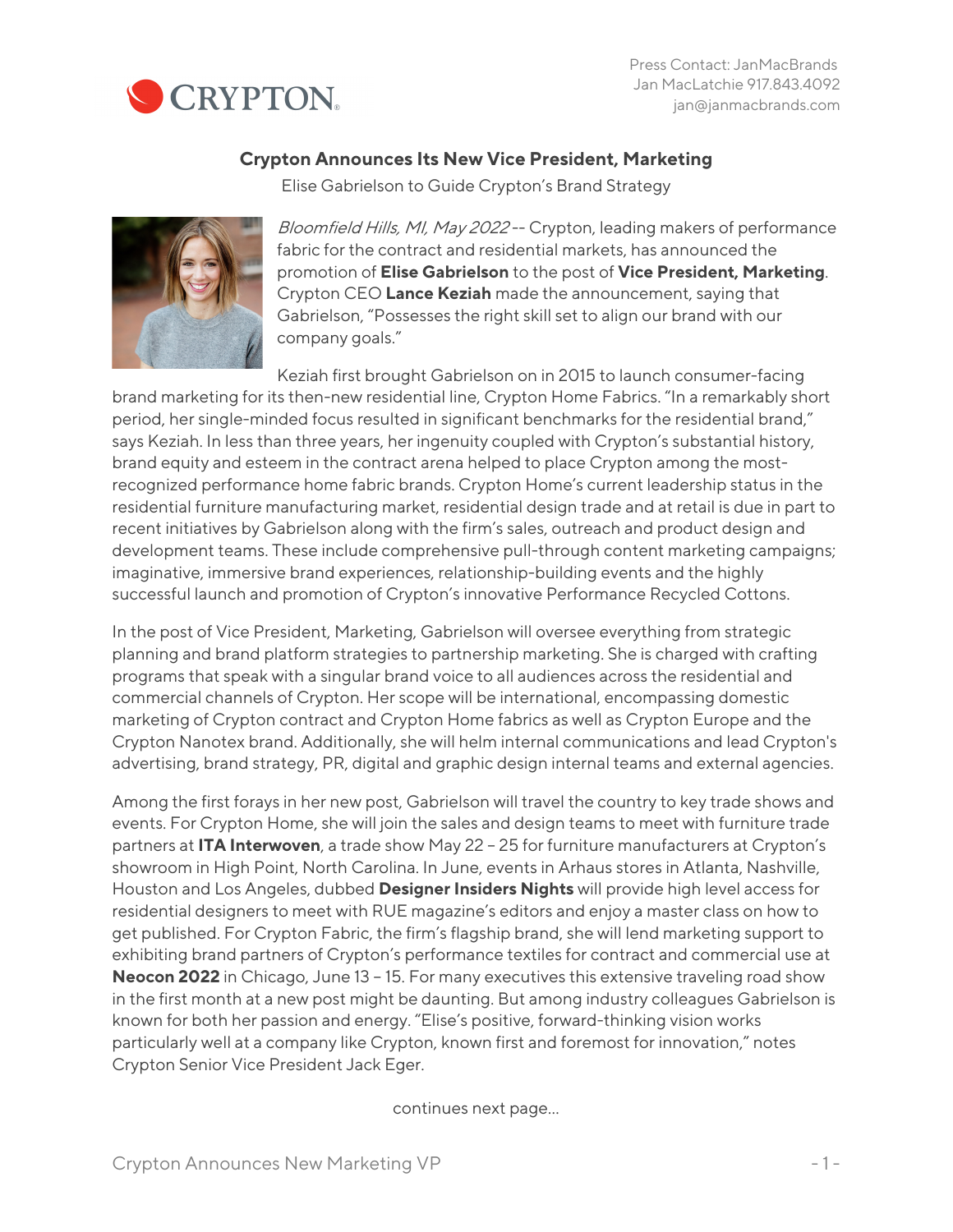

## **Crypton Announces Its New Vice President, Marketing**

Elise Gabrielson to Guide Crypton's Brand Strategy



Bloomfield Hills, MI, May 2022 -- Crypton, leading makers of performance fabric for the contract and residential markets, has announced the promotion of **Elise Gabrielson** to the post of **Vice President, Marketing**. Crypton CEO **Lance Keziah** made the announcement, saying that Gabrielson, "Possesses the right skill set to align our brand with our company goals."

Keziah first brought Gabrielson on in 2015 to launch consumer-facing brand marketing for its then-new residential line, Crypton Home Fabrics. "In a remarkably short period, her single-minded focus resulted in significant benchmarks for the residential brand," says Keziah. In less than three years, her ingenuity coupled with Crypton's substantial history, brand equity and esteem in the contract arena helped to place Crypton among the mostrecognized performance home fabric brands. Crypton Home's current leadership status in the residential furniture manufacturing market, residential design trade and at retail is due in part to recent initiatives by Gabrielson along with the firm's sales, outreach and product design and development teams. These include comprehensive pull-through content marketing campaigns; imaginative, immersive brand experiences, relationship-building events and the highly successful launch and promotion of Crypton's innovative Performance Recycled Cottons.

In the post of Vice President, Marketing, Gabrielson will oversee everything from strategic planning and brand platform strategies to partnership marketing. She is charged with crafting programs that speak with a singular brand voice to all audiences across the residential and commercial channels of Crypton. Her scope will be international, encompassing domestic marketing of Crypton contract and Crypton Home fabrics as well as Crypton Europe and the Crypton Nanotex brand. Additionally, she will helm internal communications and lead Crypton's advertising, brand strategy, PR, digital and graphic design internal teams and external agencies.

Among the first forays in her new post, Gabrielson will travel the country to key trade shows and events. For Crypton Home, she will join the sales and design teams to meet with furniture trade partners at **ITA Interwoven**, a trade show May 22 – 25 for furniture manufacturers at Crypton's showroom in High Point, North Carolina. In June, events in Arhaus stores in Atlanta, Nashville, Houston and Los Angeles, dubbed **Designer Insiders Nights** will provide high level access for residential designers to meet with RUE magazine's editors and enjoy a master class on how to get published. For Crypton Fabric, the firm's flagship brand, she will lend marketing support to exhibiting brand partners of Crypton's performance textiles for contract and commercial use at **Neocon 2022** in Chicago, June 13 – 15. For many executives this extensive traveling road show in the first month at a new post might be daunting. But among industry colleagues Gabrielson is known for both her passion and energy. "Elise's positive, forward-thinking vision works particularly well at a company like Crypton, known first and foremost for innovation," notes Crypton Senior Vice President Jack Eger.

continues next page…